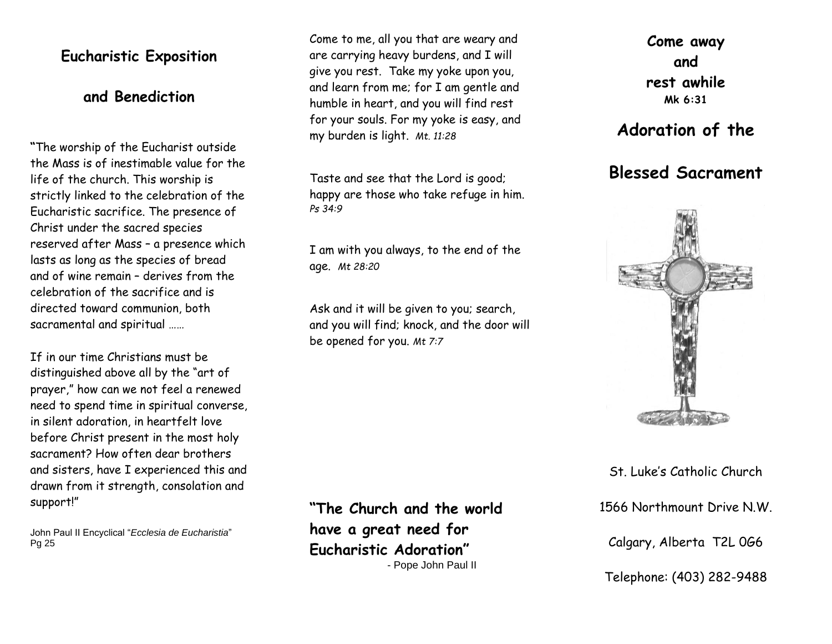### **Eucharistic Exposition**

### **and Benediction**

**"**The worship of the Eucharist outside the Mass is of inestimable value for the life of the church. This worship is strictly linked to the celebration of the Eucharistic sacrifice. The presence of Christ under the sacred species reserved after Mass – a presence which lasts as long as the species of bread and of wine remain – derives from the celebration of the sacrifice and is directed toward communion, both sacramental and spiritual ……

If in our time Christians must be distinguished above all by the "art of prayer," how can we not feel a renewed need to spend time in spiritual converse, in silent adoration, in heartfelt love before Christ present in the most holy sacrament? How often dear brothers and sisters, have I experienced this and drawn from it strength, consolation and support!"

John Paul II Encyclical "*Ecclesia de Eucharistia*" Pg 25

Come to me, all you that are weary and are carrying heavy burdens, and I will give you rest. Take my yoke upon you, and learn from me; for I am gentle and humble in heart, and you will find rest for your souls. For my yoke is easy, and my burden is light. *Mt. 11:28*

Taste and see that the Lord is good; happy are those who take refuge in him. *Ps 34:9*

I am with you always, to the end of the age. *Mt 28:20*

Ask and it will be given to you; search, and you will find; knock, and the door will be opened for you. *Mt 7:7*

**"The Church and the world have a great need for Eucharistic Adoration"**  - Pope John Paul II

**Come away and rest awhile Mk 6:31**

# **Adoration of the**

# **Blessed Sacrament**



St. Luke's Catholic Church

1566 Northmount Drive N.W.

Calgary, Alberta T2L 0G6

Telephone: (403) 282-9488